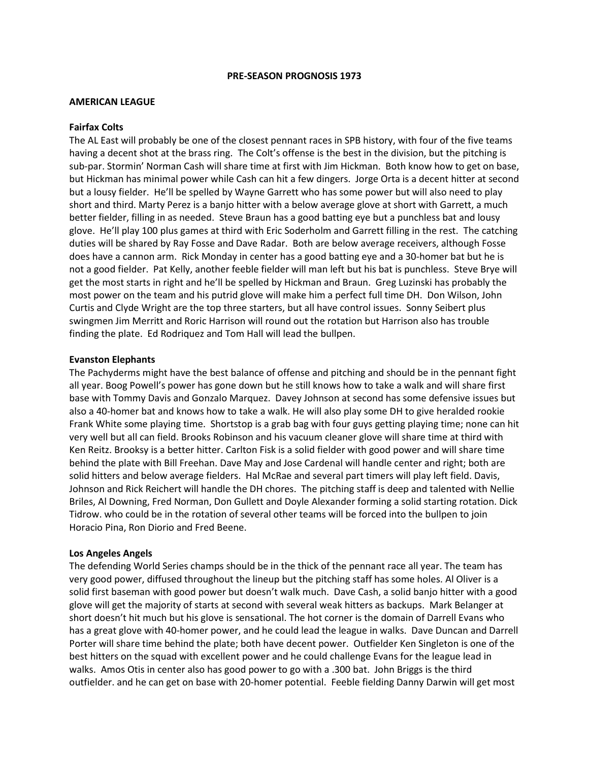#### **PRE-SEASON PROGNOSIS 1973**

# **AMERICAN LEAGUE**

#### **Fairfax Colts**

The AL East will probably be one of the closest pennant races in SPB history, with four of the five teams having a decent shot at the brass ring. The Colt's offense is the best in the division, but the pitching is sub-par. Stormin' Norman Cash will share time at first with Jim Hickman. Both know how to get on base, but Hickman has minimal power while Cash can hit a few dingers. Jorge Orta is a decent hitter at second but a lousy fielder. He'll be spelled by Wayne Garrett who has some power but will also need to play short and third. Marty Perez is a banjo hitter with a below average glove at short with Garrett, a much better fielder, filling in as needed. Steve Braun has a good batting eye but a punchless bat and lousy glove. He'll play 100 plus games at third with Eric Soderholm and Garrett filling in the rest. The catching duties will be shared by Ray Fosse and Dave Radar. Both are below average receivers, although Fosse does have a cannon arm. Rick Monday in center has a good batting eye and a 30-homer bat but he is not a good fielder. Pat Kelly, another feeble fielder will man left but his bat is punchless. Steve Brye will get the most starts in right and he'll be spelled by Hickman and Braun. Greg Luzinski has probably the most power on the team and his putrid glove will make him a perfect full time DH. Don Wilson, John Curtis and Clyde Wright are the top three starters, but all have control issues. Sonny Seibert plus swingmen Jim Merritt and Roric Harrison will round out the rotation but Harrison also has trouble finding the plate. Ed Rodriquez and Tom Hall will lead the bullpen.

# **Evanston Elephants**

The Pachyderms might have the best balance of offense and pitching and should be in the pennant fight all year. Boog Powell's power has gone down but he still knows how to take a walk and will share first base with Tommy Davis and Gonzalo Marquez. Davey Johnson at second has some defensive issues but also a 40-homer bat and knows how to take a walk. He will also play some DH to give heralded rookie Frank White some playing time. Shortstop is a grab bag with four guys getting playing time; none can hit very well but all can field. Brooks Robinson and his vacuum cleaner glove will share time at third with Ken Reitz. Brooksy is a better hitter. Carlton Fisk is a solid fielder with good power and will share time behind the plate with Bill Freehan. Dave May and Jose Cardenal will handle center and right; both are solid hitters and below average fielders. Hal McRae and several part timers will play left field. Davis, Johnson and Rick Reichert will handle the DH chores. The pitching staff is deep and talented with Nellie Briles, Al Downing, Fred Norman, Don Gullett and Doyle Alexander forming a solid starting rotation. Dick Tidrow. who could be in the rotation of several other teams will be forced into the bullpen to join Horacio Pina, Ron Diorio and Fred Beene.

# **Los Angeles Angels**

The defending World Series champs should be in the thick of the pennant race all year. The team has very good power, diffused throughout the lineup but the pitching staff has some holes. Al Oliver is a solid first baseman with good power but doesn't walk much. Dave Cash, a solid banjo hitter with a good glove will get the majority of starts at second with several weak hitters as backups. Mark Belanger at short doesn't hit much but his glove is sensational. The hot corner is the domain of Darrell Evans who has a great glove with 40-homer power, and he could lead the league in walks. Dave Duncan and Darrell Porter will share time behind the plate; both have decent power. Outfielder Ken Singleton is one of the best hitters on the squad with excellent power and he could challenge Evans for the league lead in walks. Amos Otis in center also has good power to go with a .300 bat. John Briggs is the third outfielder. and he can get on base with 20-homer potential. Feeble fielding Danny Darwin will get most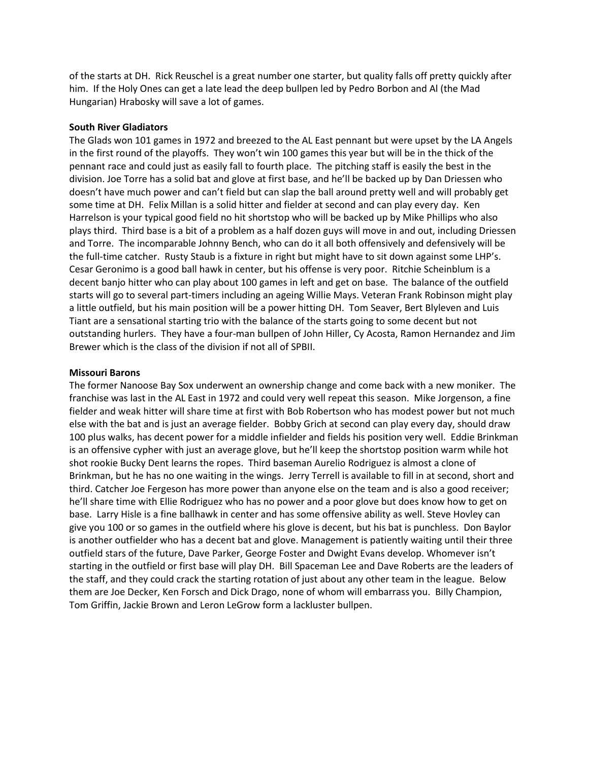of the starts at DH. Rick Reuschel is a great number one starter, but quality falls off pretty quickly after him. If the Holy Ones can get a late lead the deep bullpen led by Pedro Borbon and Al (the Mad Hungarian) Hrabosky will save a lot of games.

# **South River Gladiators**

The Glads won 101 games in 1972 and breezed to the AL East pennant but were upset by the LA Angels in the first round of the playoffs. They won't win 100 games this year but will be in the thick of the pennant race and could just as easily fall to fourth place. The pitching staff is easily the best in the division. Joe Torre has a solid bat and glove at first base, and he'll be backed up by Dan Driessen who doesn't have much power and can't field but can slap the ball around pretty well and will probably get some time at DH. Felix Millan is a solid hitter and fielder at second and can play every day. Ken Harrelson is your typical good field no hit shortstop who will be backed up by Mike Phillips who also plays third. Third base is a bit of a problem as a half dozen guys will move in and out, including Driessen and Torre. The incomparable Johnny Bench, who can do it all both offensively and defensively will be the full-time catcher. Rusty Staub is a fixture in right but might have to sit down against some LHP's. Cesar Geronimo is a good ball hawk in center, but his offense is very poor. Ritchie Scheinblum is a decent banjo hitter who can play about 100 games in left and get on base. The balance of the outfield starts will go to several part-timers including an ageing Willie Mays. Veteran Frank Robinson might play a little outfield, but his main position will be a power hitting DH. Tom Seaver, Bert Blyleven and Luis Tiant are a sensational starting trio with the balance of the starts going to some decent but not outstanding hurlers. They have a four-man bullpen of John Hiller, Cy Acosta, Ramon Hernandez and Jim Brewer which is the class of the division if not all of SPBII.

# **Missouri Barons**

The former Nanoose Bay Sox underwent an ownership change and come back with a new moniker. The franchise was last in the AL East in 1972 and could very well repeat this season. Mike Jorgenson, a fine fielder and weak hitter will share time at first with Bob Robertson who has modest power but not much else with the bat and is just an average fielder. Bobby Grich at second can play every day, should draw 100 plus walks, has decent power for a middle infielder and fields his position very well. Eddie Brinkman is an offensive cypher with just an average glove, but he'll keep the shortstop position warm while hot shot rookie Bucky Dent learns the ropes. Third baseman Aurelio Rodriguez is almost a clone of Brinkman, but he has no one waiting in the wings. Jerry Terrell is available to fill in at second, short and third. Catcher Joe Fergeson has more power than anyone else on the team and is also a good receiver; he'll share time with Ellie Rodriguez who has no power and a poor glove but does know how to get on base. Larry Hisle is a fine ballhawk in center and has some offensive ability as well. Steve Hovley can give you 100 or so games in the outfield where his glove is decent, but his bat is punchless. Don Baylor is another outfielder who has a decent bat and glove. Management is patiently waiting until their three outfield stars of the future, Dave Parker, George Foster and Dwight Evans develop. Whomever isn't starting in the outfield or first base will play DH. Bill Spaceman Lee and Dave Roberts are the leaders of the staff, and they could crack the starting rotation of just about any other team in the league. Below them are Joe Decker, Ken Forsch and Dick Drago, none of whom will embarrass you. Billy Champion, Tom Griffin, Jackie Brown and Leron LeGrow form a lackluster bullpen.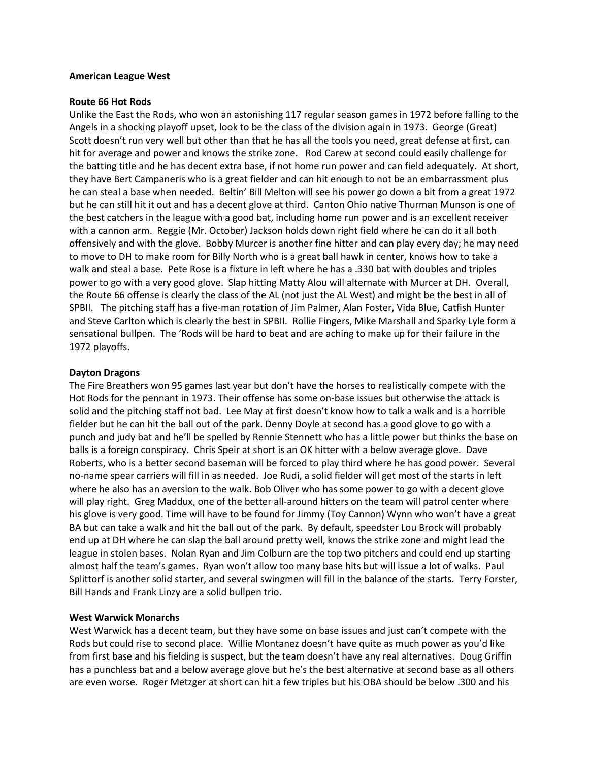### **American League West**

### **Route 66 Hot Rods**

Unlike the East the Rods, who won an astonishing 117 regular season games in 1972 before falling to the Angels in a shocking playoff upset, look to be the class of the division again in 1973. George (Great) Scott doesn't run very well but other than that he has all the tools you need, great defense at first, can hit for average and power and knows the strike zone. Rod Carew at second could easily challenge for the batting title and he has decent extra base, if not home run power and can field adequately. At short, they have Bert Campaneris who is a great fielder and can hit enough to not be an embarrassment plus he can steal a base when needed. Beltin' Bill Melton will see his power go down a bit from a great 1972 but he can still hit it out and has a decent glove at third. Canton Ohio native Thurman Munson is one of the best catchers in the league with a good bat, including home run power and is an excellent receiver with a cannon arm. Reggie (Mr. October) Jackson holds down right field where he can do it all both offensively and with the glove. Bobby Murcer is another fine hitter and can play every day; he may need to move to DH to make room for Billy North who is a great ball hawk in center, knows how to take a walk and steal a base. Pete Rose is a fixture in left where he has a .330 bat with doubles and triples power to go with a very good glove. Slap hitting Matty Alou will alternate with Murcer at DH. Overall, the Route 66 offense is clearly the class of the AL (not just the AL West) and might be the best in all of SPBII. The pitching staff has a five-man rotation of Jim Palmer, Alan Foster, Vida Blue, Catfish Hunter and Steve Carlton which is clearly the best in SPBII. Rollie Fingers, Mike Marshall and Sparky Lyle form a sensational bullpen. The 'Rods will be hard to beat and are aching to make up for their failure in the 1972 playoffs.

# **Dayton Dragons**

The Fire Breathers won 95 games last year but don't have the horses to realistically compete with the Hot Rods for the pennant in 1973. Their offense has some on-base issues but otherwise the attack is solid and the pitching staff not bad. Lee May at first doesn't know how to talk a walk and is a horrible fielder but he can hit the ball out of the park. Denny Doyle at second has a good glove to go with a punch and judy bat and he'll be spelled by Rennie Stennett who has a little power but thinks the base on balls is a foreign conspiracy. Chris Speir at short is an OK hitter with a below average glove. Dave Roberts, who is a better second baseman will be forced to play third where he has good power. Several no-name spear carriers will fill in as needed. Joe Rudi, a solid fielder will get most of the starts in left where he also has an aversion to the walk. Bob Oliver who has some power to go with a decent glove will play right. Greg Maddux, one of the better all-around hitters on the team will patrol center where his glove is very good. Time will have to be found for Jimmy (Toy Cannon) Wynn who won't have a great BA but can take a walk and hit the ball out of the park. By default, speedster Lou Brock will probably end up at DH where he can slap the ball around pretty well, knows the strike zone and might lead the league in stolen bases. Nolan Ryan and Jim Colburn are the top two pitchers and could end up starting almost half the team's games. Ryan won't allow too many base hits but will issue a lot of walks. Paul Splittorf is another solid starter, and several swingmen will fill in the balance of the starts. Terry Forster, Bill Hands and Frank Linzy are a solid bullpen trio.

# **West Warwick Monarchs**

West Warwick has a decent team, but they have some on base issues and just can't compete with the Rods but could rise to second place. Willie Montanez doesn't have quite as much power as you'd like from first base and his fielding is suspect, but the team doesn't have any real alternatives. Doug Griffin has a punchless bat and a below average glove but he's the best alternative at second base as all others are even worse. Roger Metzger at short can hit a few triples but his OBA should be below .300 and his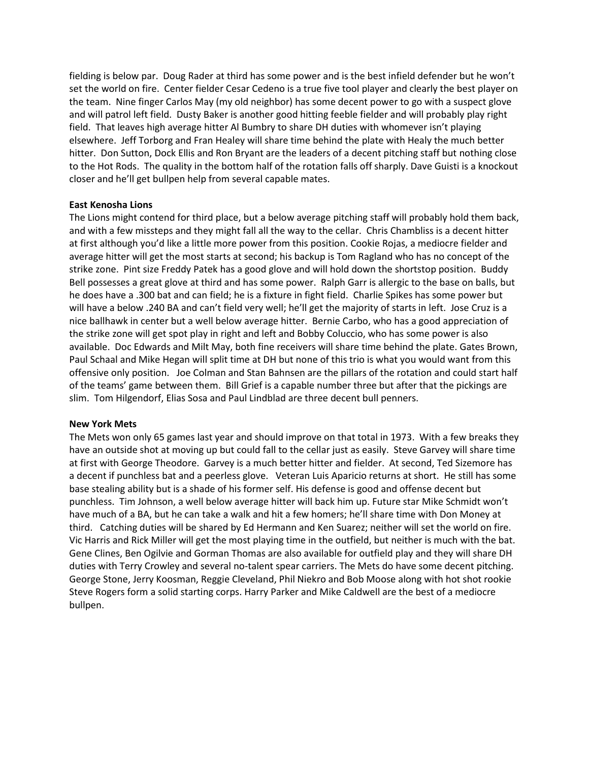fielding is below par. Doug Rader at third has some power and is the best infield defender but he won't set the world on fire. Center fielder Cesar Cedeno is a true five tool player and clearly the best player on the team. Nine finger Carlos May (my old neighbor) has some decent power to go with a suspect glove and will patrol left field. Dusty Baker is another good hitting feeble fielder and will probably play right field. That leaves high average hitter Al Bumbry to share DH duties with whomever isn't playing elsewhere. Jeff Torborg and Fran Healey will share time behind the plate with Healy the much better hitter. Don Sutton, Dock Ellis and Ron Bryant are the leaders of a decent pitching staff but nothing close to the Hot Rods. The quality in the bottom half of the rotation falls off sharply. Dave Guisti is a knockout closer and he'll get bullpen help from several capable mates.

# **East Kenosha Lions**

The Lions might contend for third place, but a below average pitching staff will probably hold them back, and with a few missteps and they might fall all the way to the cellar. Chris Chambliss is a decent hitter at first although you'd like a little more power from this position. Cookie Rojas, a mediocre fielder and average hitter will get the most starts at second; his backup is Tom Ragland who has no concept of the strike zone. Pint size Freddy Patek has a good glove and will hold down the shortstop position. Buddy Bell possesses a great glove at third and has some power. Ralph Garr is allergic to the base on balls, but he does have a .300 bat and can field; he is a fixture in fight field. Charlie Spikes has some power but will have a below .240 BA and can't field very well; he'll get the majority of starts in left. Jose Cruz is a nice ballhawk in center but a well below average hitter. Bernie Carbo, who has a good appreciation of the strike zone will get spot play in right and left and Bobby Coluccio, who has some power is also available. Doc Edwards and Milt May, both fine receivers will share time behind the plate. Gates Brown, Paul Schaal and Mike Hegan will split time at DH but none of this trio is what you would want from this offensive only position. Joe Colman and Stan Bahnsen are the pillars of the rotation and could start half of the teams' game between them. Bill Grief is a capable number three but after that the pickings are slim. Tom Hilgendorf, Elias Sosa and Paul Lindblad are three decent bull penners.

# **New York Mets**

The Mets won only 65 games last year and should improve on that total in 1973. With a few breaks they have an outside shot at moving up but could fall to the cellar just as easily. Steve Garvey will share time at first with George Theodore. Garvey is a much better hitter and fielder. At second, Ted Sizemore has a decent if punchless bat and a peerless glove. Veteran Luis Aparicio returns at short. He still has some base stealing ability but is a shade of his former self. His defense is good and offense decent but punchless. Tim Johnson, a well below average hitter will back him up. Future star Mike Schmidt won't have much of a BA, but he can take a walk and hit a few homers; he'll share time with Don Money at third. Catching duties will be shared by Ed Hermann and Ken Suarez; neither will set the world on fire. Vic Harris and Rick Miller will get the most playing time in the outfield, but neither is much with the bat. Gene Clines, Ben Ogilvie and Gorman Thomas are also available for outfield play and they will share DH duties with Terry Crowley and several no-talent spear carriers. The Mets do have some decent pitching. George Stone, Jerry Koosman, Reggie Cleveland, Phil Niekro and Bob Moose along with hot shot rookie Steve Rogers form a solid starting corps. Harry Parker and Mike Caldwell are the best of a mediocre bullpen.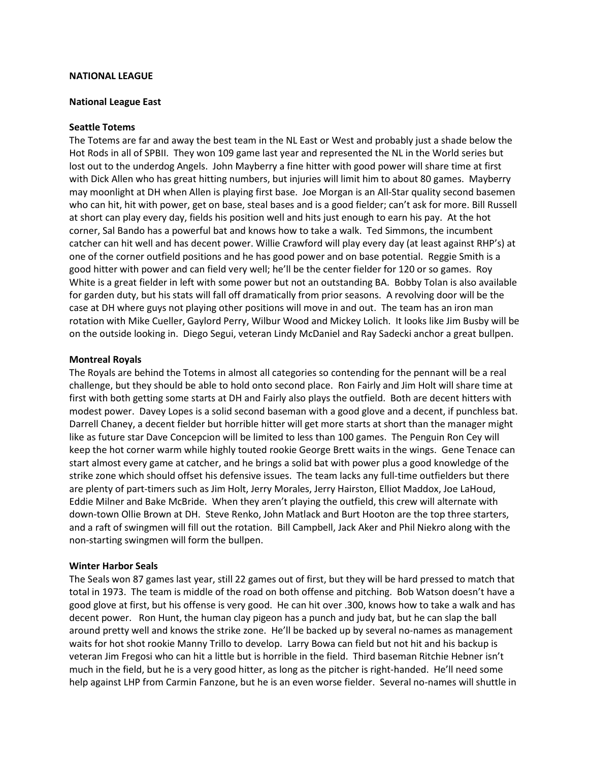# **NATIONAL LEAGUE**

### **National League East**

#### **Seattle Totems**

The Totems are far and away the best team in the NL East or West and probably just a shade below the Hot Rods in all of SPBII. They won 109 game last year and represented the NL in the World series but lost out to the underdog Angels. John Mayberry a fine hitter with good power will share time at first with Dick Allen who has great hitting numbers, but injuries will limit him to about 80 games. Mayberry may moonlight at DH when Allen is playing first base. Joe Morgan is an All-Star quality second basemen who can hit, hit with power, get on base, steal bases and is a good fielder; can't ask for more. Bill Russell at short can play every day, fields his position well and hits just enough to earn his pay. At the hot corner, Sal Bando has a powerful bat and knows how to take a walk. Ted Simmons, the incumbent catcher can hit well and has decent power. Willie Crawford will play every day (at least against RHP's) at one of the corner outfield positions and he has good power and on base potential. Reggie Smith is a good hitter with power and can field very well; he'll be the center fielder for 120 or so games. Roy White is a great fielder in left with some power but not an outstanding BA. Bobby Tolan is also available for garden duty, but his stats will fall off dramatically from prior seasons. A revolving door will be the case at DH where guys not playing other positions will move in and out. The team has an iron man rotation with Mike Cueller, Gaylord Perry, Wilbur Wood and Mickey Lolich. It looks like Jim Busby will be on the outside looking in. Diego Segui, veteran Lindy McDaniel and Ray Sadecki anchor a great bullpen.

# **Montreal Royals**

The Royals are behind the Totems in almost all categories so contending for the pennant will be a real challenge, but they should be able to hold onto second place. Ron Fairly and Jim Holt will share time at first with both getting some starts at DH and Fairly also plays the outfield. Both are decent hitters with modest power. Davey Lopes is a solid second baseman with a good glove and a decent, if punchless bat. Darrell Chaney, a decent fielder but horrible hitter will get more starts at short than the manager might like as future star Dave Concepcion will be limited to less than 100 games. The Penguin Ron Cey will keep the hot corner warm while highly touted rookie George Brett waits in the wings. Gene Tenace can start almost every game at catcher, and he brings a solid bat with power plus a good knowledge of the strike zone which should offset his defensive issues. The team lacks any full-time outfielders but there are plenty of part-timers such as Jim Holt, Jerry Morales, Jerry Hairston, Elliot Maddox, Joe LaHoud, Eddie Milner and Bake McBride. When they aren't playing the outfield, this crew will alternate with down-town Ollie Brown at DH. Steve Renko, John Matlack and Burt Hooton are the top three starters, and a raft of swingmen will fill out the rotation. Bill Campbell, Jack Aker and Phil Niekro along with the non-starting swingmen will form the bullpen.

#### **Winter Harbor Seals**

The Seals won 87 games last year, still 22 games out of first, but they will be hard pressed to match that total in 1973. The team is middle of the road on both offense and pitching. Bob Watson doesn't have a good glove at first, but his offense is very good. He can hit over .300, knows how to take a walk and has decent power. Ron Hunt, the human clay pigeon has a punch and judy bat, but he can slap the ball around pretty well and knows the strike zone. He'll be backed up by several no-names as management waits for hot shot rookie Manny Trillo to develop. Larry Bowa can field but not hit and his backup is veteran Jim Fregosi who can hit a little but is horrible in the field. Third baseman Ritchie Hebner isn't much in the field, but he is a very good hitter, as long as the pitcher is right-handed. He'll need some help against LHP from Carmin Fanzone, but he is an even worse fielder. Several no-names will shuttle in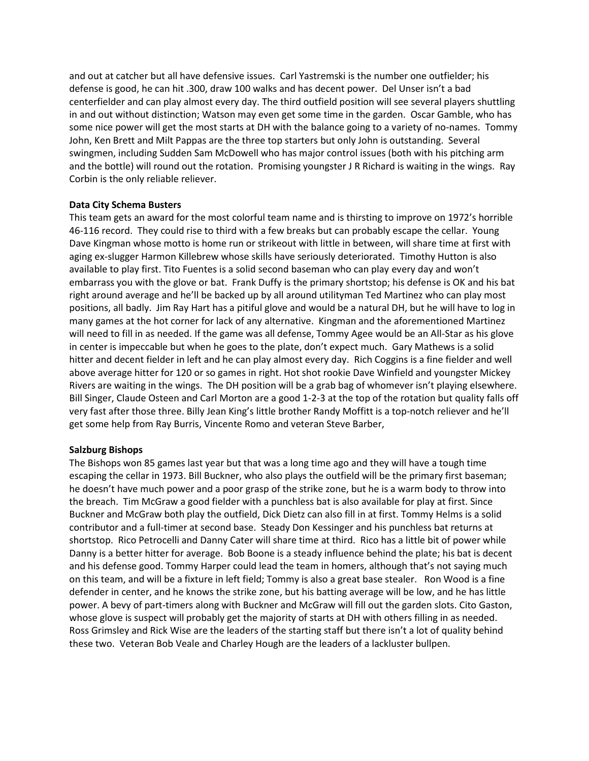and out at catcher but all have defensive issues. Carl Yastremski is the number one outfielder; his defense is good, he can hit .300, draw 100 walks and has decent power. Del Unser isn't a bad centerfielder and can play almost every day. The third outfield position will see several players shuttling in and out without distinction; Watson may even get some time in the garden. Oscar Gamble, who has some nice power will get the most starts at DH with the balance going to a variety of no-names. Tommy John, Ken Brett and Milt Pappas are the three top starters but only John is outstanding. Several swingmen, including Sudden Sam McDowell who has major control issues (both with his pitching arm and the bottle) will round out the rotation. Promising youngster J R Richard is waiting in the wings. Ray Corbin is the only reliable reliever.

# **Data City Schema Busters**

This team gets an award for the most colorful team name and is thirsting to improve on 1972's horrible 46-116 record. They could rise to third with a few breaks but can probably escape the cellar. Young Dave Kingman whose motto is home run or strikeout with little in between, will share time at first with aging ex-slugger Harmon Killebrew whose skills have seriously deteriorated. Timothy Hutton is also available to play first. Tito Fuentes is a solid second baseman who can play every day and won't embarrass you with the glove or bat. Frank Duffy is the primary shortstop; his defense is OK and his bat right around average and he'll be backed up by all around utilityman Ted Martinez who can play most positions, all badly. Jim Ray Hart has a pitiful glove and would be a natural DH, but he will have to log in many games at the hot corner for lack of any alternative. Kingman and the aforementioned Martinez will need to fill in as needed. If the game was all defense, Tommy Agee would be an All-Star as his glove in center is impeccable but when he goes to the plate, don't expect much. Gary Mathews is a solid hitter and decent fielder in left and he can play almost every day. Rich Coggins is a fine fielder and well above average hitter for 120 or so games in right. Hot shot rookie Dave Winfield and youngster Mickey Rivers are waiting in the wings. The DH position will be a grab bag of whomever isn't playing elsewhere. Bill Singer, Claude Osteen and Carl Morton are a good 1-2-3 at the top of the rotation but quality falls off very fast after those three. Billy Jean King's little brother Randy Moffitt is a top-notch reliever and he'll get some help from Ray Burris, Vincente Romo and veteran Steve Barber,

# **Salzburg Bishops**

The Bishops won 85 games last year but that was a long time ago and they will have a tough time escaping the cellar in 1973. Bill Buckner, who also plays the outfield will be the primary first baseman; he doesn't have much power and a poor grasp of the strike zone, but he is a warm body to throw into the breach. Tim McGraw a good fielder with a punchless bat is also available for play at first. Since Buckner and McGraw both play the outfield, Dick Dietz can also fill in at first. Tommy Helms is a solid contributor and a full-timer at second base. Steady Don Kessinger and his punchless bat returns at shortstop. Rico Petrocelli and Danny Cater will share time at third. Rico has a little bit of power while Danny is a better hitter for average. Bob Boone is a steady influence behind the plate; his bat is decent and his defense good. Tommy Harper could lead the team in homers, although that's not saying much on this team, and will be a fixture in left field; Tommy is also a great base stealer. Ron Wood is a fine defender in center, and he knows the strike zone, but his batting average will be low, and he has little power. A bevy of part-timers along with Buckner and McGraw will fill out the garden slots. Cito Gaston, whose glove is suspect will probably get the majority of starts at DH with others filling in as needed. Ross Grimsley and Rick Wise are the leaders of the starting staff but there isn't a lot of quality behind these two. Veteran Bob Veale and Charley Hough are the leaders of a lackluster bullpen.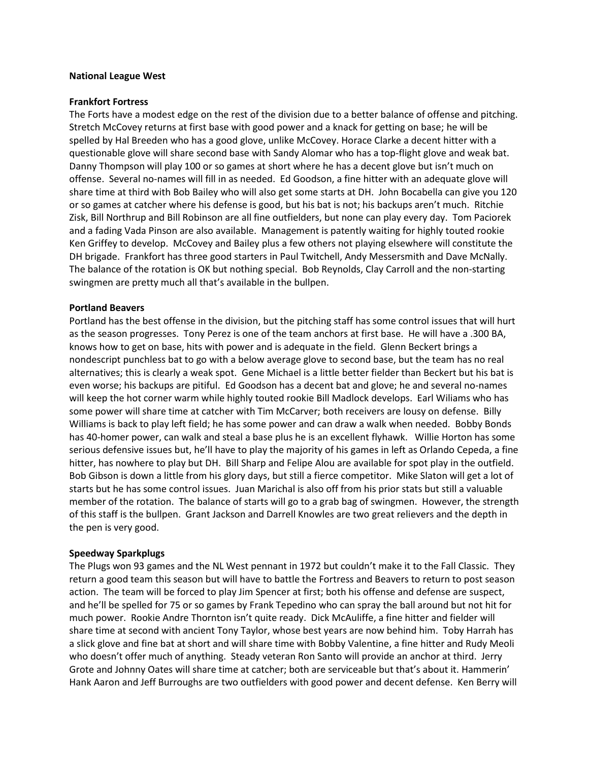### **National League West**

### **Frankfort Fortress**

The Forts have a modest edge on the rest of the division due to a better balance of offense and pitching. Stretch McCovey returns at first base with good power and a knack for getting on base; he will be spelled by Hal Breeden who has a good glove, unlike McCovey. Horace Clarke a decent hitter with a questionable glove will share second base with Sandy Alomar who has a top-flight glove and weak bat. Danny Thompson will play 100 or so games at short where he has a decent glove but isn't much on offense. Several no-names will fill in as needed. Ed Goodson, a fine hitter with an adequate glove will share time at third with Bob Bailey who will also get some starts at DH. John Bocabella can give you 120 or so games at catcher where his defense is good, but his bat is not; his backups aren't much. Ritchie Zisk, Bill Northrup and Bill Robinson are all fine outfielders, but none can play every day. Tom Paciorek and a fading Vada Pinson are also available. Management is patently waiting for highly touted rookie Ken Griffey to develop. McCovey and Bailey plus a few others not playing elsewhere will constitute the DH brigade. Frankfort has three good starters in Paul Twitchell, Andy Messersmith and Dave McNally. The balance of the rotation is OK but nothing special. Bob Reynolds, Clay Carroll and the non-starting swingmen are pretty much all that's available in the bullpen.

# **Portland Beavers**

Portland has the best offense in the division, but the pitching staff has some control issues that will hurt as the season progresses. Tony Perez is one of the team anchors at first base. He will have a .300 BA, knows how to get on base, hits with power and is adequate in the field. Glenn Beckert brings a nondescript punchless bat to go with a below average glove to second base, but the team has no real alternatives; this is clearly a weak spot. Gene Michael is a little better fielder than Beckert but his bat is even worse; his backups are pitiful. Ed Goodson has a decent bat and glove; he and several no-names will keep the hot corner warm while highly touted rookie Bill Madlock develops. Earl Wiliams who has some power will share time at catcher with Tim McCarver; both receivers are lousy on defense. Billy Williams is back to play left field; he has some power and can draw a walk when needed. Bobby Bonds has 40-homer power, can walk and steal a base plus he is an excellent flyhawk. Willie Horton has some serious defensive issues but, he'll have to play the majority of his games in left as Orlando Cepeda, a fine hitter, has nowhere to play but DH. Bill Sharp and Felipe Alou are available for spot play in the outfield. Bob Gibson is down a little from his glory days, but still a fierce competitor. Mike Slaton will get a lot of starts but he has some control issues. Juan Marichal is also off from his prior stats but still a valuable member of the rotation. The balance of starts will go to a grab bag of swingmen. However, the strength of this staff is the bullpen. Grant Jackson and Darrell Knowles are two great relievers and the depth in the pen is very good.

# **Speedway Sparkplugs**

The Plugs won 93 games and the NL West pennant in 1972 but couldn't make it to the Fall Classic. They return a good team this season but will have to battle the Fortress and Beavers to return to post season action. The team will be forced to play Jim Spencer at first; both his offense and defense are suspect, and he'll be spelled for 75 or so games by Frank Tepedino who can spray the ball around but not hit for much power. Rookie Andre Thornton isn't quite ready. Dick McAuliffe, a fine hitter and fielder will share time at second with ancient Tony Taylor, whose best years are now behind him. Toby Harrah has a slick glove and fine bat at short and will share time with Bobby Valentine, a fine hitter and Rudy Meoli who doesn't offer much of anything. Steady veteran Ron Santo will provide an anchor at third. Jerry Grote and Johnny Oates will share time at catcher; both are serviceable but that's about it. Hammerin' Hank Aaron and Jeff Burroughs are two outfielders with good power and decent defense. Ken Berry will